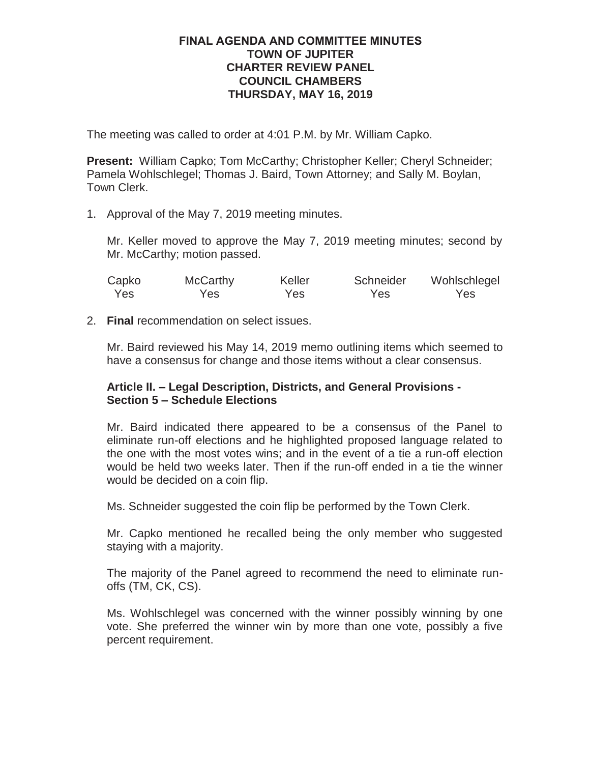# **FINAL AGENDA AND COMMITTEE MINUTES TOWN OF JUPITER CHARTER REVIEW PANEL COUNCIL CHAMBERS THURSDAY, MAY 16, 2019**

The meeting was called to order at 4:01 P.M. by Mr. William Capko.

**Present:** William Capko; Tom McCarthy; Christopher Keller; Cheryl Schneider; Pamela Wohlschlegel; Thomas J. Baird, Town Attorney; and Sally M. Boylan, Town Clerk.

1. Approval of the May 7, 2019 meeting minutes.

Mr. Keller moved to approve the May 7, 2019 meeting minutes; second by Mr. McCarthy; motion passed.

| Capko | <b>McCarthy</b> | Keller | Schneider | Wohlschlegel |
|-------|-----------------|--------|-----------|--------------|
| Yes   | Yes             | Yes    | Yes       | Yes          |

2. **Final** recommendation on select issues.

Mr. Baird reviewed his May 14, 2019 memo outlining items which seemed to have a consensus for change and those items without a clear consensus.

# **Article II. – Legal Description, Districts, and General Provisions - Section 5 – Schedule Elections**

Mr. Baird indicated there appeared to be a consensus of the Panel to eliminate run-off elections and he highlighted proposed language related to the one with the most votes wins; and in the event of a tie a run-off election would be held two weeks later. Then if the run-off ended in a tie the winner would be decided on a coin flip.

Ms. Schneider suggested the coin flip be performed by the Town Clerk.

Mr. Capko mentioned he recalled being the only member who suggested staying with a majority.

The majority of the Panel agreed to recommend the need to eliminate runoffs (TM, CK, CS).

Ms. Wohlschlegel was concerned with the winner possibly winning by one vote. She preferred the winner win by more than one vote, possibly a five percent requirement.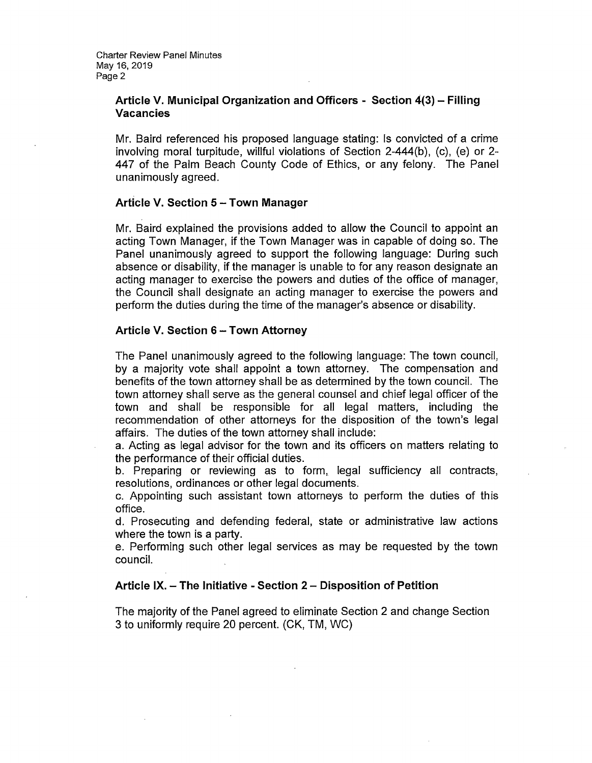## Article V. Municipal Organization and Officers - Section 4(3) - Filling **Vacancies**

Mr. Baird referenced his proposed language stating: Is convicted of a crime involving moral turpitude, willful violations of Section 2-444(b), (c), (e) or 2-447 of the Palm Beach County Code of Ethics, or any felony. The Panel unanimously agreed.

#### Article V. Section 5 - Town Manager

Mr. Baird explained the provisions added to allow the Council to appoint an acting Town Manager, if the Town Manager was in capable of doing so. The Panel unanimously agreed to support the following language: During such absence or disability, if the manager is unable to for any reason designate an acting manager to exercise the powers and duties of the office of manager. the Council shall designate an acting manager to exercise the powers and perform the duties during the time of the manager's absence or disability.

#### Article V. Section 6 - Town Attorney

The Panel unanimously agreed to the following language: The town council, by a majority vote shall appoint a town attorney. The compensation and benefits of the town attorney shall be as determined by the town council. The town attorney shall serve as the general counsel and chief legal officer of the town and shall be responsible for all legal matters, including the recommendation of other attorneys for the disposition of the town's legal affairs. The duties of the town attorney shall include:

a. Acting as legal advisor for the town and its officers on matters relating to the performance of their official duties.

b. Preparing or reviewing as to form, legal sufficiency all contracts, resolutions, ordinances or other legal documents.

c. Appointing such assistant town attorneys to perform the duties of this office.

d. Prosecuting and defending federal, state or administrative law actions where the town is a party.

e. Performing such other legal services as may be requested by the town council.

#### Article IX. - The Initiative - Section 2 - Disposition of Petition

The majority of the Panel agreed to eliminate Section 2 and change Section 3 to uniformly require 20 percent. (CK, TM, WC)